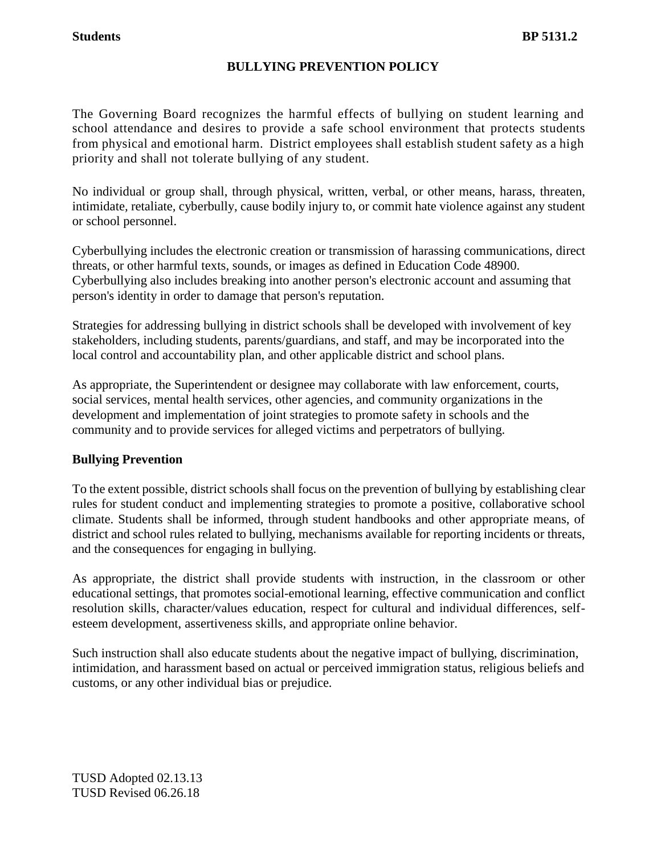The Governing Board recognizes the harmful effects of bullying on student learning and school attendance and desires to provide a safe school environment that protects students from physical and emotional harm. District employees shall establish student safety as a high priority and shall not tolerate bullying of any student.

No individual or group shall, through physical, written, verbal, or other means, harass, threaten, intimidate*,* retaliate*,* cyberbully, cause bodily injury to, or commit hate violence against any student or school personnel.

Cyberbullying includes the electronic creation or transmission of harassing communications, direct threats, or other harmful texts, sounds, or images as defined in Education Code 48900. Cyberbullying also includes breaking into another person's electronic account and assuming that person's identity in order to damage that person's reputation.

Strategies for addressing bullying in district schools shall be developed with involvement of key stakeholders, including students, parents/guardians, and staff, and may be incorporated into the local control and accountability plan, and other applicable district and school plans.

As appropriate, the Superintendent or designee may collaborate with law enforcement, courts, social services, mental health services, other agencies, and community organizations in the development and implementation of joint strategies to promote safety in schools and the community and to provide services for alleged victims and perpetrators of bullying.

# **Bullying Prevention**

To the extent possible, district schools shall focus on the prevention of bullying by establishing clear rules for student conduct and implementing strategies to promote a positive, collaborative school climate. Students shall be informed, through student handbooks and other appropriate means, of district and school rules related to bullying, mechanisms available for reporting incidents or threats, and the consequences for engaging in bullying.

As appropriate, the district shall provide students with instruction, in the classroom or other educational settings, that promotes social-emotional learning, effective communication and conflict resolution skills, character/values education, respect for cultural and individual differences, selfesteem development, assertiveness skills, and appropriate online behavior.

Such instruction shall also educate students about the negative impact of bullying, discrimination, intimidation, and harassment based on actual or perceived immigration status, religious beliefs and customs, or any other individual bias or prejudice*.*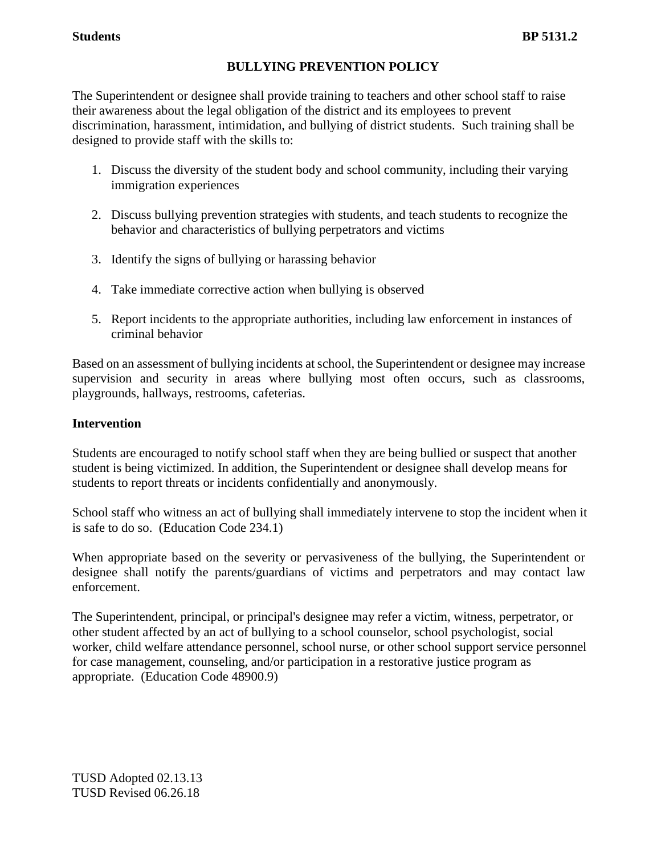The Superintendent or designee shall provide training to teachers and other school staff to raise their awareness about the legal obligation of the district and its employees to prevent discrimination, harassment, intimidation, and bullying of district students. Such training shall be designed to provide staff with the skills to:

- 1. Discuss the diversity of the student body and school community, including their varying immigration experiences
- 2. Discuss bullying prevention strategies with students, and teach students to recognize the behavior and characteristics of bullying perpetrators and victims
- 3. Identify the signs of bullying or harassing behavior
- 4. Take immediate corrective action when bullying is observed
- 5. Report incidents to the appropriate authorities, including law enforcement in instances of criminal behavior

Based on an assessment of bullying incidents at school, the Superintendent or designee may increase supervision and security in areas where bullying most often occurs, such as classrooms, playgrounds, hallways, restrooms, cafeterias.

### **Intervention**

Students are encouraged to notify school staff when they are being bullied or suspect that another student is being victimized. In addition, the Superintendent or designee shall develop means for students to report threats or incidents confidentially and anonymously.

School staff who witness an act of bullying shall immediately intervene to stop the incident when it is safe to do so. (Education Code 234.1)

When appropriate based on the severity or pervasiveness of the bullying, the Superintendent or designee shall notify the parents/guardians of victims and perpetrators and may contact law enforcement.

The Superintendent, principal, or principal's designee may refer a victim, witness, perpetrator, or other student affected by an act of bullying to a school counselor, school psychologist, social worker, child welfare attendance personnel, school nurse, or other school support service personnel for case management, counseling, and/or participation in a restorative justice program as appropriate. (Education Code 48900.9)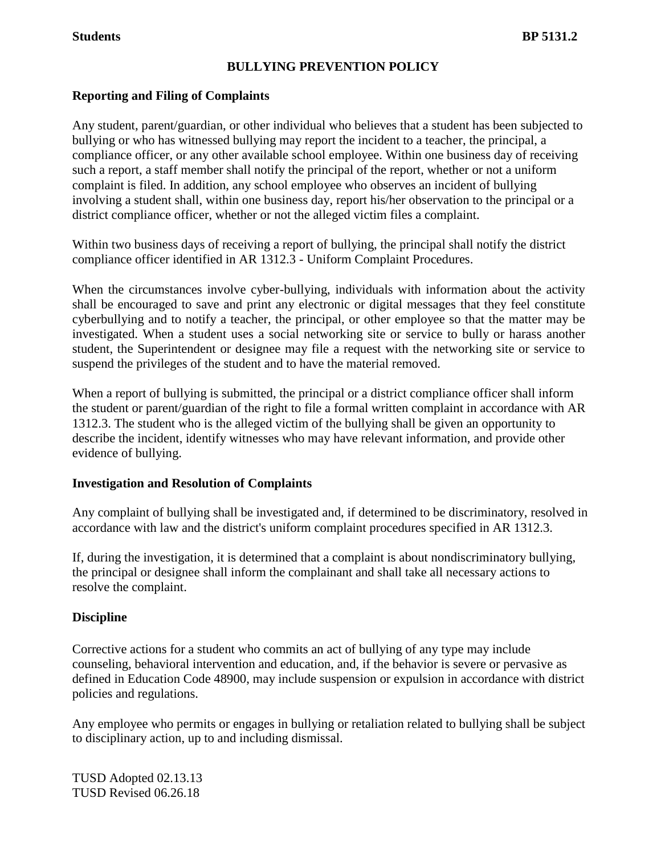## **Reporting and Filing of Complaints**

Any student, parent/guardian, or other individual who believes that a student has been subjected to bullying or who has witnessed bullying may report the incident to a teacher, the principal, a compliance officer, or any other available school employee. Within one business day of receiving such a report, a staff member shall notify the principal of the report, whether or not a uniform complaint is filed. In addition, any school employee who observes an incident of bullying involving a student shall, within one business day, report his/her observation to the principal or a district compliance officer, whether or not the alleged victim files a complaint.

Within two business days of receiving a report of bullying, the principal shall notify the district compliance officer identified in AR 1312.3 - Uniform Complaint Procedures.

When the circumstances involve cyber-bullying, individuals with information about the activity shall be encouraged to save and print any electronic or digital messages that they feel constitute cyberbullying and to notify a teacher, the principal, or other employee so that the matter may be investigated. When a student uses a social networking site or service to bully or harass another student, the Superintendent or designee may file a request with the networking site or service to suspend the privileges of the student and to have the material removed.

When a report of bullying is submitted, the principal or a district compliance officer shall inform the student or parent/guardian of the right to file a formal written complaint in accordance with AR 1312.3. The student who is the alleged victim of the bullying shall be given an opportunity to describe the incident, identify witnesses who may have relevant information, and provide other evidence of bullying.

### **Investigation and Resolution of Complaints**

Any complaint of bullying shall be investigated and, if determined to be discriminatory, resolved in accordance with law and the district's uniform complaint procedures specified in AR 1312.3.

If, during the investigation, it is determined that a complaint is about nondiscriminatory bullying, the principal or designee shall inform the complainant and shall take all necessary actions to resolve the complaint.

### **Discipline**

Corrective actions for a student who commits an act of bullying of any type may include counseling, behavioral intervention and education, and, if the behavior is severe or pervasive as defined in Education Code 48900, may include suspension or expulsion in accordance with district policies and regulations.

Any employee who permits or engages in bullying or retaliation related to bullying shall be subject to disciplinary action, up to and including dismissal.

TUSD Adopted 02.13.13 TUSD Revised 06.26.18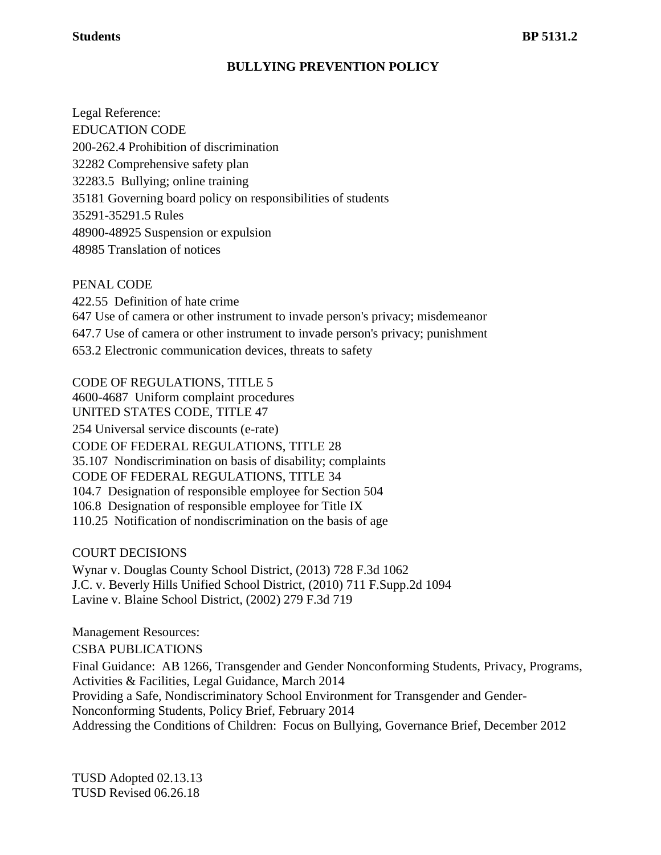### **Students** BP 5131.2

# **BULLYING PREVENTION POLICY**

Legal Reference: EDUCATION CODE 200-262.4 Prohibition of discrimination 32282 Comprehensive safety plan 32283.5 Bullying; online training 35181 Governing board policy on responsibilities of students 35291-35291.5 Rules 48900-48925 Suspension or expulsion 48985 Translation of notices

PENAL CODE 422.55 Definition of hate crime 647 Use of camera or other instrument to invade person's privacy; misdemeanor 647.7 Use of camera or other instrument to invade person's privacy; punishment 653.2 Electronic communication devices, threats to safety

CODE OF REGULATIONS, TITLE 5 4600-4687 Uniform complaint procedures UNITED STATES CODE, TITLE 47 254 Universal service discounts (e-rate) CODE OF FEDERAL REGULATIONS, TITLE 28 35.107 Nondiscrimination on basis of disability; complaints CODE OF FEDERAL REGULATIONS, TITLE 34 104.7 Designation of responsible employee for Section 504 106.8 Designation of responsible employee for Title IX 110.25 Notification of nondiscrimination on the basis of age

COURT DECISIONS Wynar v. Douglas County School District, (2013) 728 F.3d 1062 J.C. v. Beverly Hills Unified School District, (2010) 711 F.Supp.2d 1094 Lavine v. Blaine School District, (2002) 279 F.3d 719

Management Resources: CSBA PUBLICATIONS Final Guidance: AB 1266, Transgender and Gender Nonconforming Students, Privacy, Programs, Activities & Facilities, Legal Guidance, March 2014 Providing a Safe, Nondiscriminatory School Environment for Transgender and Gender-Nonconforming Students, Policy Brief, February 2014 Addressing the Conditions of Children: Focus on Bullying, Governance Brief, December 2012

TUSD Adopted 02.13.13 TUSD Revised 06.26.18